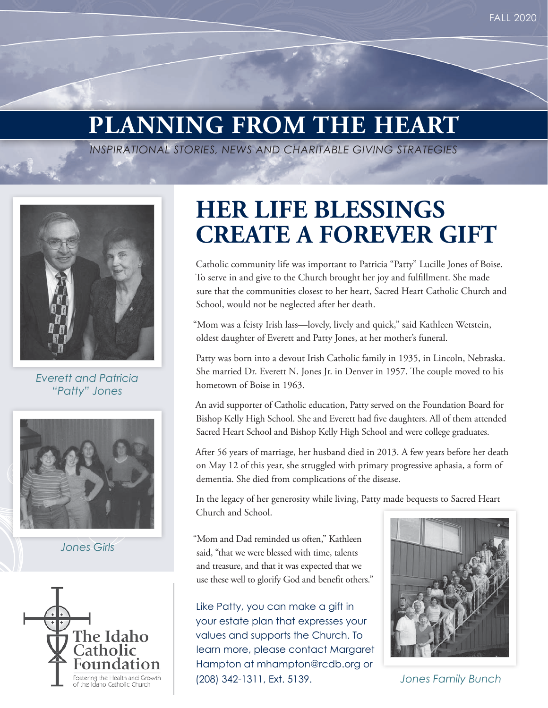# **PLANNING FROM THE HEART**

*INSPIRATIONAL STORIES, NEWS AND CHARITABLE GIVING STRATEGIES*



*Everett and Patricia "Patty" Jones* 



*Jones Girls*



## **HER LIFE BLESSINGS CREATE A FOREVER GIFT**

Catholic community life was important to Patricia "Patty" Lucille Jones of Boise. To serve in and give to the Church brought her joy and fulfillment. She made sure that the communities closest to her heart, Sacred Heart Catholic Church and School, would not be neglected after her death.

"Mom was a feisty Irish lass—lovely, lively and quick," said Kathleen Wetstein, oldest daughter of Everett and Patty Jones, at her mother's funeral.

Patty was born into a devout Irish Catholic family in 1935, in Lincoln, Nebraska. She married Dr. Everett N. Jones Jr. in Denver in 1957. The couple moved to his hometown of Boise in 1963.

An avid supporter of Catholic education, Patty served on the Foundation Board for Bishop Kelly High School. She and Everett had five daughters. All of them attended Sacred Heart School and Bishop Kelly High School and were college graduates.

After 56 years of marriage, her husband died in 2013. A few years before her death on May 12 of this year, she struggled with primary progressive aphasia, a form of dementia. She died from complications of the disease.

In the legacy of her generosity while living, Patty made bequests to Sacred Heart Church and School.

"Mom and Dad reminded us often," Kathleen said, "that we were blessed with time, talents and treasure, and that it was expected that we use these well to glorify God and benefit others."

Like Patty, you can make a gift in your estate plan that expresses your values and supports the Church. To learn more, please contact Margaret Hampton at mhampton@rcdb.org or (208) 342-1311, Ext. 5139.



*Jones Family Bunch*